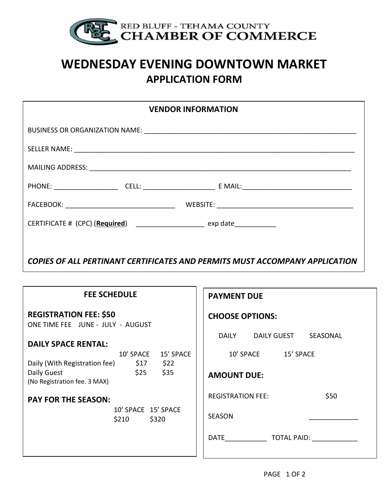

## WEDNESDAY EVENING DOWNTOWN MARKET APPLICATION FORM

| <b>VENDOR INFORMATION</b>                                                   |                                  |
|-----------------------------------------------------------------------------|----------------------------------|
|                                                                             |                                  |
|                                                                             |                                  |
|                                                                             |                                  |
|                                                                             |                                  |
|                                                                             |                                  |
| CERTIFICATE # (CPC) (Required) ____________________ exp date____________    |                                  |
|                                                                             |                                  |
| COPIES OF ALL PERTINANT CERTIFICATES AND PERMITS MUST ACCOMPANY APPLICATION |                                  |
|                                                                             |                                  |
| <b>FEE SCHEDULE</b>                                                         | <b>PAYMENT DUE</b>               |
| <b>REGISTRATION FEE: \$50</b><br>ONE TIME FEE JUNE - JULY - AUGUST          | <b>CHOOSE OPTIONS:</b>           |
| <b>DAILY SPACE RENTAL:</b>                                                  | DAILY DAILY GUEST SEASONAL       |
| 10' SPACE 15' SPACE<br>Daily (With Registration fee) \$17 \$22              | 10' SPACE 15' SPACE              |
| Daily Guest<br>\$25<br>\$35<br>(No Registration fee. 3 MAX)                 | <b>AMOUNT DUE:</b>               |
| <b>PAY FOR THE SEASON:</b>                                                  | <b>REGISTRATION FEE:</b><br>\$50 |
| 10' SPACE 15' SPACE<br>$$210$ $$320$                                        | <b>SEASON</b>                    |
|                                                                             |                                  |